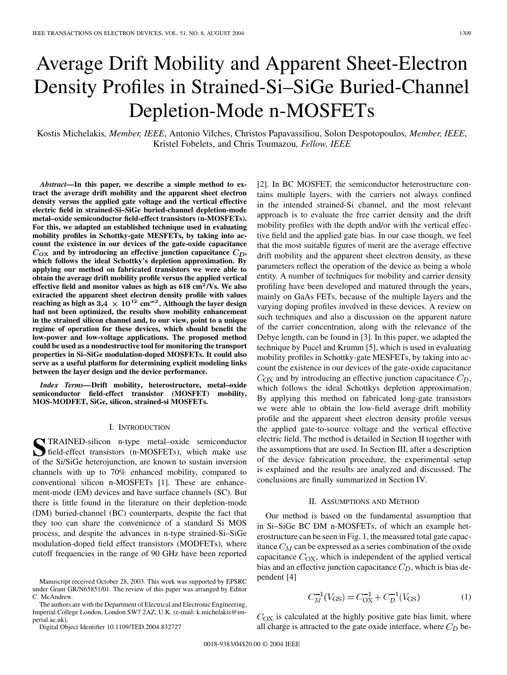# Average Drift Mobility and Apparent Sheet-Electron Density Profiles in Strained-Si–SiGe Buried-Channel Depletion-Mode n-MOSFETs

Kostis Michelakis*, Member, IEEE*, Antonio Vilches, Christos Papavassiliou, Solon Despotopoulos*, Member, IEEE*, Kristel Fobelets, and Chris Toumazou*, Fellow, IEEE*

*Abstract—***In this paper, we describe a simple method to extract the average drift mobility and the apparent sheet electron density versus the applied gate voltage and the vertical effective electric field in strained-Si–SiGe buried-channel depletion-mode metal–oxide semiconductor field-effect transistors (n-MOSFETs). For this, we adapted an established technique used in evaluating mobility profiles in Schottky-gate MESFETs, by taking into account the existence in our devices of the gate-oxide capacitance**  $C_{\text{OX}}$  and by introducing an effective junction capacitance  $C_D$ , **which follows the ideal Schottky's depletion approximation. By applying our method on fabricated transistors we were able to obtain the average drift mobility profile versus the applied vertical effective field and monitor values as high as 618 cm**<sup>2</sup>**/Vs. We also extracted the apparent sheet electron density profile with values reaching as high as 3.4**  $\times$  10<sup>12</sup> cm<sup>-2</sup>. Although the layer design **had not been optimized, the results show mobility enhancement in the strained silicon channel and, to our view, point to a unique regime of operation for these devices, which should benefit the low-power and low-voltage applications. The proposed method could be used as a nondestructive tool for monitoring the transport properties in Si–SiGe modulation-doped MOSFETs. It could also serve as a useful platform for determining explicit modeling links between the layer design and the device performance.**

*Index Terms—***Drift mobility, heterostructure, metal–oxide semiconductor field-effect transistor (MOSFET) mobility, MOS-MODFET, SiGe, silicon, strained-si MOSFETs.**

## I. INTRODUCTION

**S**TRAINED-silicon n-type metal–oxide semiconductor<br>field-effect transistors (n-MOSFETs), which make use<br>of the Si/SiCe haterniunation are known to quation inversion of the Si/SiGe heterojunction, are known to sustain inversion channels with up to 70% enhanced mobility, compared to conventional silicon n-MOSFETs [\[1](#page-4-0)]. These are enhancement-mode (EM) devices and have surface channels (SC). But there is little found in the literature on their depletion-mode (DM) buried-channel (BC) counterparts, despite the fact that they too can share the convenience of a standard Si MOS process, and despite the advances in n-type strained-Si–SiGe modulation-doped field effect transistors (MODFETs), where cutoff frequencies in the range of 90 GHz have been reported

The authors are with the Department of Electrical and Electronic Engineering, Imperial College London, London SW7 2AZ, U.K. (e-mail: k.michelakis@imperial.ac.uk).

Digital Object Identifier 10.1109/TED.2004.832727

[\[2](#page-4-0)]. In BC MOSFET, the semiconductor heterostructure contains multiple layers, with the carriers not always confined in the intended strained-Si channel, and the most relevant approach is to evaluate the free carrier density and the drift mobility profiles with the depth and/or with the vertical effective field and the applied gate bias. In our case though, we feel that the most suitable figures of merit are the average effective drift mobility and the apparent sheet electron density, as these parameters reflect the operation of the device as being a whole entity. A number of techniques for mobility and carrier density profiling have been developed and matured through the years, mainly on GaAs FETs, because of the multiple layers and the varying doping profiles involved in these devices. A review on such techniques and also a discussion on the apparent nature of the carrier concentration, along with the relevance of the Debye length, can be found in [[3\]](#page-4-0). In this paper, we adapted the technique by Pucel and Krumm [\[5\]](#page-4-0), which is used in evaluating mobility profiles in Schottky-gate MESFETs, by taking into account the existence in our devices of the gate-oxide capacitance  $C_{\rm OX}$  and by introducing an effective junction capacitance  $C_D$ , which follows the ideal Schottkys depletion approximation. By applying this method on fabricated long-gate transistors we were able to obtain the low-field average drift mobility profile and the apparent sheet electron density profile versus the applied gate-to-source voltage and the vertical effective electric field. The method is detailed in Section II together with the assumptions that are used. In Section III, after a description of the device fabrication procedure, the experimental setup is explained and the results are analyzed and discussed. The conclusions are finally summarized in Section IV.

#### II. ASSUMPTIONS AND METHOD

Our method is based on the fundamental assumption that in Si–SiGe BC DM n-MOSFETs, of which an example heterostructure can be seen in Fig. 1, the measured total gate capacitance  $C_M$  can be expressed as a series combination of the oxide capacitance  $C_{\text{OX}}$ , which is independent of the applied vertical bias and an effective junction capacitance  $C_D$ , which is bias dependent [\[4\]](#page-4-0)

$$
C_M^{-1}(V_{\text{GS}}) = C_{\text{OX}}^{-1} + C_D^{-1}(V_{\text{GS}})
$$
 (1)

 $C_{OX}$  is calculated at the highly positive gate bias limit, where all charge is attracted to the gate oxide interface, where  $C_D$  be-

Manuscript received October 28, 2003. This work was supported by EPSRC under Grant GR/N65851/01. The review of this paper was arranged by Editor C. McAndrew.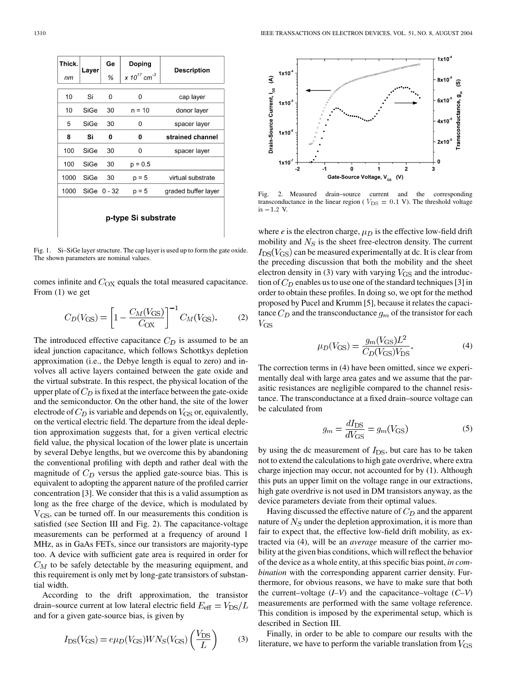| Thick.              | Layer | Ge              | Doping                              | Description         |
|---------------------|-------|-----------------|-------------------------------------|---------------------|
| пm                  |       | ℅               | x 10 <sup>17</sup> cm <sup>-3</sup> |                     |
| 10                  | Si    | 0               | 0                                   | cap layer           |
| 10                  | SiGe  | 30              | $n = 10$                            | donor layer         |
| 5                   | SiGe  | 30              | 0                                   | spacer layer        |
| 8                   | Si    | 0               | 0                                   | strained channel    |
| 100                 | SiGe  | 30              | 0                                   | spacer layer        |
| 100                 | SiGe  | 30              | $p = 0.5$                           |                     |
| 1000                | SiGe  | 30              | $p = 5$                             | virtual substrate   |
| 1000                |       | $SiGe$ $0 - 32$ | p = 5                               | graded buffer layer |
| p-type Si substrate |       |                 |                                     |                     |



Fig. 2. Measured drain–source current and the corresponding transconductance in the linear region ( $V_{\text{DS}} = 0.1$  V). The threshold voltage Fig. 2.<br>transcondu<br>is  $-1.2$  V.

Fig. 1. Si–SiGe layer structure. The cap layer is used up to form the gate oxide. The shown parameters are nominal values.

comes infinite and  $C_{OX}$  equals the total measured capacitance. From (1) we get

$$
C_D(V_{\rm GS}) = \left[1 - \frac{C_M(V_{\rm GS})}{C_{\rm OX}}\right]^{-1} C_M(V_{\rm GS}).\tag{2}
$$

The introduced effective capacitance  $C_D$  is assumed to be an ideal junction capacitance, which follows Schottkys depletion approximation (i.e., the Debye length is equal to zero) and involves all active layers contained between the gate oxide and the virtual substrate. In this respect, the physical location of the upper plate of  $C_D$  is fixed at the interface between the gate-oxide and the semiconductor. On the other hand, the site of the lower electrode of  $C_D$  is variable and depends on  $V_{\rm GS}$  or, equivalently, on the vertical electric field. The departure from the ideal depletion approximation suggests that, for a given vertical electric field value, the physical location of the lower plate is uncertain by several Debye lengths, but we overcome this by abandoning the conventional profiling with depth and rather deal with the magnitude of  $C_D$  versus the applied gate-source bias. This is equivalent to adopting the apparent nature of the profiled carrier concentration [\[3](#page-4-0)]. We consider that this is a valid assumption as long as the free charge of the device, which is modulated by  $V_{\rm GS}$ , can be turned off. In our measurements this condition is satisfied (see Section III and Fig. 2). The capacitance-voltage measurements can be performed at a frequency of around 1 MHz, as in GaAs FETs, since our transistors are majority-type too. A device with sufficient gate area is required in order for  $C_M$  to be safely detectable by the measuring equipment, and this requirement is only met by long-gate transistors of substantial width.

According to the drift approximation, the transistor drain–source current at low lateral electric field  $E_{\text{eff}} = V_{\text{DS}}/L$ and for a given gate-source bias, is given by

$$
I_{\rm DS}(V_{\rm GS}) = e\mu_D(V_{\rm GS})WN_S(V_{\rm GS})\left(\frac{V_{\rm DS}}{L}\right) \tag{3}
$$

where  $e$  is the electron charge,  $\mu_D$  is the effective low-field drift mobility and  $N<sub>S</sub>$  is the sheet free-electron density. The current  $I_{DS}(V_{GS})$  can be measured experimentally at dc. It is clear from the preceding discussion that both the mobility and the sheet electron density in (3) vary with varying  $V_{\rm GS}$  and the introduction of  $C_D$  enables us to use one of the standard techniques [[3\]](#page-4-0) in order to obtain these profiles. In doing so, we opt for the method proposed by Pucel and Krumm [\[5](#page-4-0)], because it relates the capacitance  $C_D$  and the transconductance  $g_m$  of the transistor for each  $V_{\rm GS}$ 

$$
\mu_D(V_{\rm GS}) = \frac{g_m(V_{\rm GS})L^2}{C_D(V_{\rm GS})V_{\rm DS}}.\tag{4}
$$

The correction terms in (4) have been omitted, since we experimentally deal with large area gates and we assume that the parasitic resistances are negligible compared to the channel resistance. The transconductance at a fixed drain–source voltage can be calculated from

$$
g_m = \frac{dI_{\rm DS}}{dV_{\rm GS}} = g_m(V_{\rm GS})\tag{5}
$$

by using the dc measurement of  $I_{DS}$ , but care has to be taken not to extend the calculations to high gate overdrive, where extra charge injection may occur, not accounted for by (1). Although this puts an upper limit on the voltage range in our extractions, high gate overdrive is not used in DM transistors anyway, as the device parameters deviate from their optimal values.

Having discussed the effective nature of  $C_D$  and the apparent nature of  $N<sub>S</sub>$  under the depletion approximation, it is more than fair to expect that, the effective low-field drift mobility, as extracted via (4), will be an *average* measure of the carrier mobility at the given bias conditions, which will reflect the behavior of the device as a whole entity, at this specific bias point, *in combination* with the corresponding apparent carrier density. Furthermore, for obvious reasons, we have to make sure that both the current–voltage (*I–V*) and the capacitance–voltage (*C–V*) measurements are performed with the same voltage reference. This condition is imposed by the experimental setup, which is described in Section III.

Finally, in order to be able to compare our results with the literature, we have to perform the variable translation from  $V_{\rm GS}$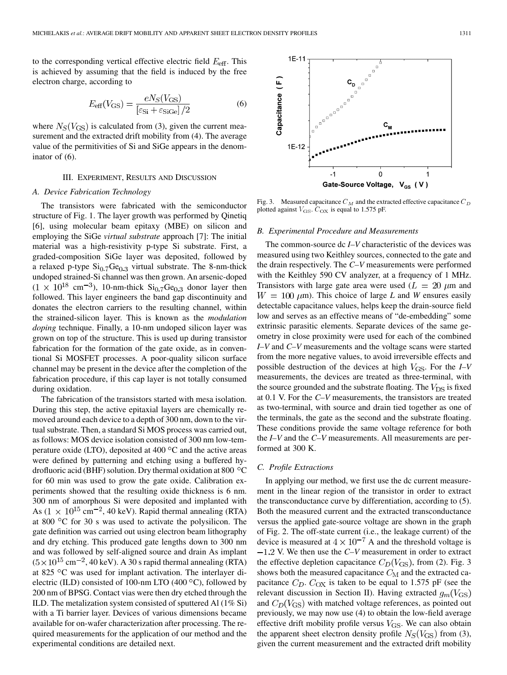to the corresponding vertical effective electric field  $E_{\text{eff}}$ . This is achieved by assuming that the field is induced by the free electron charge, according to

$$
E_{\text{eff}}(V_{\text{GS}}) = \frac{eN_S(V_{\text{GS}})}{\left[\varepsilon_{\text{Si}} + \varepsilon_{\text{SiGe}}\right]/2}
$$
(6)

where  $N_S(V_{\text{GS}})$  is calculated from (3), given the current measurement and the extracted drift mobility from (4). The average value of the permitivities of Si and SiGe appears in the denominator of (6).

#### III. EXPERIMENT, RESULTS AND DISCUSSION

#### *A. Device Fabrication Technology*

The transistors were fabricated with the semiconductor structure of Fig. 1. The layer growth was performed by Qinetiq [\[6](#page-4-0)], using molecular beam epitaxy (MBE) on silicon and employing the SiGe *virtual substrate* approach [\[7](#page-4-0)]: The initial material was a high-resistivity p-type Si substrate. First, a graded-composition SiGe layer was deposited, followed by a relaxed p-type  $Si_{0.7}Ge_{0.3}$  virtual substrate. The 8-nm-thick undoped strained-Si channel was then grown. An arsenic-doped  $(1 \times 10^{18} \text{ cm}^{-3})$ , 10-nm-thick  $\text{Si}_{0.7}\text{Ge}_{0.3}$  donor layer then followed. This layer engineers the band gap discontinuity and donates the electron carriers to the resulting channel, within the strained-silicon layer. This is known as the *modulation doping* technique. Finally, a 10-nm undoped silicon layer was grown on top of the structure. This is used up during transistor fabrication for the formation of the gate oxide, as in conventional Si MOSFET processes. A poor-quality silicon surface channel may be present in the device after the completion of the fabrication procedure, if this cap layer is not totally consumed during oxidation.

The fabrication of the transistors started with mesa isolation. During this step, the active epitaxial layers are chemically removed around each device to a depth of 300 nm, down to the virtual substrate. Then, a standard Si MOS process was carried out, as follows: MOS device isolation consisted of 300 nm low-temperature oxide (LTO), deposited at  $400\,^{\circ}\text{C}$  and the active areas were defined by patterning and etching using a buffered hydrofluoric acid (BHF) solution. Dry thermal oxidation at 800  $\,^{\circ}$ C for 60 min was used to grow the gate oxide. Calibration experiments showed that the resulting oxide thickness is 6 nm. 300 nm of amorphous Si were deposited and implanted with As  $(1 \times 10^{15} \text{ cm}^{-2}, 40 \text{ keV})$ . Rapid thermal annealing (RTA) at 800  $\degree$ C for 30 s was used to activate the polysilicon. The gate definition was carried out using electron beam lithography and dry etching. This produced gate lengths down to 300 nm and was followed by self-aligned source and drain As implant  $(5 \times 10^{15} \text{ cm}^{-2}, 40 \text{ keV})$ . A 30 s rapid thermal annealing (RTA) at 825 °C was used for implant activation. The interlayer dielectric (ILD) consisted of 100-nm LTO (400 $\degree$ C), followed by 200 nm of BPSG. Contact vias were then dry etched through the ILD. The metalization system consisted of sputtered Al (1% Si) with a Ti barrier layer. Devices of various dimensions became available for on-wafer characterization after processing. The required measurements for the application of our method and the experimental conditions are detailed next.



Fig. 3. Measured capacitance  $C_M$  and the extracted effective capacitance  $C_D$ plotted against  $V_{\text{GS}}$ .  $C_{\text{OX}}$  is equal to 1.575 pF.

#### *B. Experimental Procedure and Measurements*

The common-source dc *I–V* characteristic of the devices was measured using two Keithley sources, connected to the gate and the drain respectively. The *C–V* measurements were performed with the Keithley 590 CV analyzer, at a frequency of 1 MHz. Transistors with large gate area were used  $(L = 20 \mu m)$  and  $W = 100 \ \mu m$ ). This choice of large *L* and *W* ensures easily detectable capacitance values, helps keep the drain-source field low and serves as an effective means of "de-embedding" some extrinsic parasitic elements. Separate devices of the same geometry in close proximity were used for each of the combined *I–V* and *C–V* measurements and the voltage scans were started from the more negative values, to avoid irreversible effects and possible destruction of the devices at high  $V_{\rm GS}$ . For the *I–V* measurements, the devices are treated as three-terminal, with the source grounded and the substrate floating. The  $V_{DS}$  is fixed at 0.1 V. For the *C–V* measurements, the transistors are treated as two-terminal, with source and drain tied together as one of the terminals, the gate as the second and the substrate floating. These conditions provide the same voltage reference for both the *I–V* and the *C–V* measurements. All measurements are performed at 300 K.

#### *C. Profile Extractions*

In applying our method, we first use the dc current measurement in the linear region of the transistor in order to extract the transconductance curve by differentiation, according to (5). Both the measured current and the extracted transconductance versus the applied gate-source voltage are shown in the graph of Fig. 2. The off-state current (i.e., the leakage current) of the device is measured at  $4 \times 10^{-7}$  A and the threshold voltage is  $-1.2$  V. We then use the  $C-V$  measurement in order to extract the effective depletion capacitance  $C_D(V_{\text{GS}})$ , from (2). Fig. 3 shows both the measured capacitance  $C_M$  and the extracted capacitance  $C_D$ .  $C_{OX}$  is taken to be equal to 1.575 pF (see the relevant discussion in Section II). Having extracted  $g_m(V_{\text{GS}})$ and  $C_D(V_{\text{GS}})$  with matched voltage references, as pointed out previously, we may now use (4) to obtain the low-field average effective drift mobility profile versus  $V_{\text{GS}}$ . We can also obtain the apparent sheet electron density profile  $N_S(V_{\rm GS})$  from (3), given the current measurement and the extracted drift mobility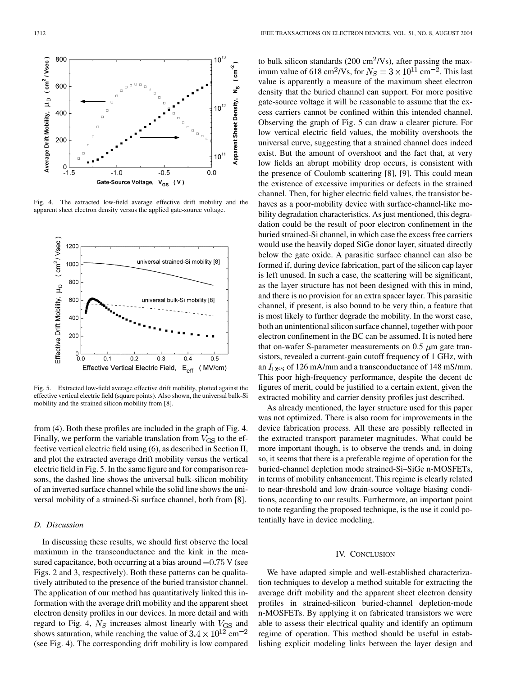

Fig. 4. The extracted low-field average effective drift mobility and the apparent sheet electron density versus the applied gate-source voltage.



Fig. 5. Extracted low-field average effective drift mobility, plotted against the effective vertical electric field (square points). Also shown, the universal bulk-Si mobility and the strained silicon mobility from [[8\]](#page-4-0).

from (4). Both these profiles are included in the graph of Fig. 4. Finally, we perform the variable translation from  $V_{\rm GS}$  to the effective vertical electric field using (6), as described in Section II, and plot the extracted average drift mobility versus the vertical electric field in Fig. 5. In the same figure and for comparison reasons, the dashed line shows the universal bulk-silicon mobility of an inverted surface channel while the solid line shows the universal mobility of a strained-Si surface channel, both from [[8\]](#page-4-0).

# *D. Discussion*

In discussing these results, we should first observe the local maximum in the transconductance and the kink in the measured capacitance, both occurring at a bias around  $-0.75$  V (see Figs. 2 and 3, respectively). Both these patterns can be qualitatively attributed to the presence of the buried transistor channel. The application of our method has quantitatively linked this information with the average drift mobility and the apparent sheet electron density profiles in our devices. In more detail and with regard to Fig. 4,  $N_S$  increases almost linearly with  $V_{\text{GS}}$  and shows saturation, while reaching the value of  $3.4 \times 10^{12}$  cm<sup>-2</sup> (see Fig. 4). The corresponding drift mobility is low compared

to bulk silicon standards (200 cm<sup>2</sup>/Vs), after passing the maximum value of 618 cm<sup>2</sup>/Vs, for  $N_S = 3 \times 10^{11}$  cm<sup>-2</sup>. This last value is apparently a measure of the maximum sheet electron density that the buried channel can support. For more positive gate-source voltage it will be reasonable to assume that the excess carriers cannot be confined within this intended channel. Observing the graph of Fig. 5 can draw a clearer picture. For low vertical electric field values, the mobility overshoots the universal curve, suggesting that a strained channel does indeed exist. But the amount of overshoot and the fact that, at very low fields an abrupt mobility drop occurs, is consistent with the presence of Coulomb scattering [[8\]](#page-4-0), [\[9](#page-4-0)]. This could mean the existence of excessive impurities or defects in the strained channel. Then, for higher electric field values, the transistor behaves as a poor-mobility device with surface-channel-like mobility degradation characteristics. As just mentioned, this degradation could be the result of poor electron confinement in the buried strained-Si channel, in which case the excess free carriers would use the heavily doped SiGe donor layer, situated directly below the gate oxide. A parasitic surface channel can also be formed if, during device fabrication, part of the silicon cap layer is left unused. In such a case, the scattering will be significant, as the layer structure has not been designed with this in mind, and there is no provision for an extra spacer layer. This parasitic channel, if present, is also bound to be very thin, a feature that is most likely to further degrade the mobility. In the worst case, both an unintentional silicon surface channel, together with poor electron confinement in the BC can be assumed. It is noted here that on-wafer S-parameter measurements on  $0.5 \mu m$  gate transistors, revealed a current-gain cutoff frequency of 1 GHz, with an  $I_{\text{DSS}}$  of 126 mA/mm and a transconductance of 148 mS/mm. This poor high-frequency performance, despite the decent dc figures of merit, could be justified to a certain extent, given the extracted mobility and carrier density profiles just described.

As already mentioned, the layer structure used for this paper was not optimized. There is also room for improvements in the device fabrication process. All these are possibly reflected in the extracted transport parameter magnitudes. What could be more important though, is to observe the trends and, in doing so, it seems that there is a preferable regime of operation for the buried-channel depletion mode strained-Si–SiGe n-MOSFETs, in terms of mobility enhancement. This regime is clearly related to near-threshold and low drain-source voltage biasing conditions, according to our results. Furthermore, an important point to note regarding the proposed technique, is the use it could potentially have in device modeling.

## IV. CONCLUSION

We have adapted simple and well-established characterization techniques to develop a method suitable for extracting the average drift mobility and the apparent sheet electron density profiles in strained-silicon buried-channel depletion-mode n-MOSFETs. By applying it on fabricated transistors we were able to assess their electrical quality and identify an optimum regime of operation. This method should be useful in establishing explicit modeling links between the layer design and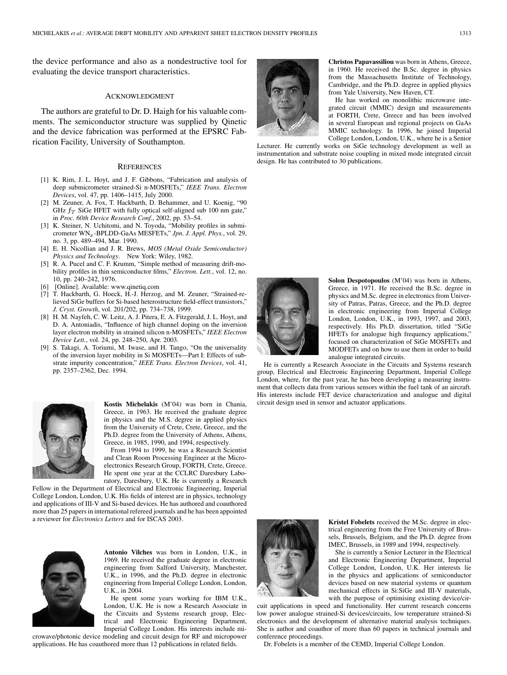<span id="page-4-0"></span>the device performance and also as a nondestructive tool for evaluating the device transport characteristics.

#### ACKNOWLEDGMENT

The authors are grateful to Dr. D. Haigh for his valuable comments. The semiconductor structure was supplied by Qinetic and the device fabrication was performed at the EPSRC Fabrication Facility, University of Southampton.

#### **REFERENCES**

- [1] K. Rim, J. L. Hoyt, and J. F. Gibbons, "Fabrication and analysis of deep submicrometer strained-Si n-MOSFETs," *IEEE Trans. Electron Devices*, vol. 47, pp. 1406–1415, July 2000.
- [2] M. Zeuner, A. Fox, T. Hackbarth, D. Behammer, and U. Koenig, "90 GHz  $f_T$  SiGe HFET with fully optical self-aligned sub 100 nm gate," in *Proc. 60th Device Research Conf.*, 2002, pp. 53–54.
- [3] K. Steiner, N. Uchitomi, and N. Toyoda, "Mobility profiles in submicrometer WN<sub>x</sub>-BPLDD-GaAs MESFETs," Jpn. J. Appl. Phys., vol. 29, no. 3, pp. 489–494, Mar. 1990.
- [4] E. H. Nicollian and J. R. Brews, *MOS (Metal Oxide Semiconductor) Physics and Technology*. New York: Wiley, 1982.
- [5] R. A. Pucel and C. F. Krumm, "Simple method of measuring drift-mobility profiles in thin semiconductor films," *Electron. Lett.*, vol. 12, no. 10, pp. 240–242, 1976.
- [Online]. Available: www.qinetiq.com
- [7] T. Hackbarth, G. Hoeck, H.-J. Herzog, and M. Zeuner, "Strained-relieved SiGe buffers for Si-based heterostructure field-effect transistors," *J. Cryst. Growth*, vol. 201/202, pp. 734–738, 1999.
- [8] H. M. Nayfeh, C. W. Leitz, A. J. Pitera, E. A. Fitzgerald, J. L. Hoyt, and D. A. Antoniadis, "Influence of high channel doping on the inversion layer electron mobility in strained silicon n-MOSFETs," *IEEE Electron Device Lett.*, vol. 24, pp. 248–250, Apr. 2003.
- [9] S. Takagi, A. Toriumi, M. Iwase, and H. Tango, "On the universality of the inversion layer mobility in Si MOSFETs—Part I: Effects of substrate impurity concentration," *IEEE Trans. Electron Devices*, vol. 41, pp. 2357–2362, Dec. 1994.



**Kostis Michelakis** (M'04) was born in Chania, Greece, in 1963. He received the graduate degree in physics and the M.S. degree in applied physics from the University of Crete, Crete, Greece, and the Ph.D. degree from the University of Athens, Athens, Greece, in 1985, 1990, and 1994, respectively.

From 1994 to 1999, he was a Research Scientist and Clean Room Processing Engineer at the Microelectronics Research Group, FORTH, Crete, Greece. He spent one year at the CCLRC Daresbury Laboratory, Daresbury, U.K. He is currently a Research

Fellow in the Department of Electrical and Electronic Engineering, Imperial College London, London, U.K. His fields of interest are in physics, technology and applications of III-V and Si-based devices. He has authored and coauthored more than 25 papers in international refereed journals and he has been appointed a reviewer for *Electronics Letters* and for ISCAS 2003.



**Antonio Vilches** was born in London, U.K., in 1969. He received the graduate degree in electronic engineering from Salford University, Manchester, U.K., in 1996, and the Ph.D. degree in electronic engineering from Imperial College London, London, U.K., in 2004.

He spent some years working for IBM U.K., London, U.K. He is now a Research Associate in the Circuits and Systems research group, Electrical and Electronic Engineering Department, Imperial College London. His interests include mi-

crowave/photonic device modeling and circuit design for RF and micropower applications. He has coauthored more than 12 publications in related fields.



**Christos Papavassiliou** was born in Athens, Greece, in 1960. He received the B.Sc. degree in physics from the Massachusetts Institute of Technology, Cambridge, and the Ph.D. degree in applied physics from Yale University, New Haven, CT.

He has worked on monolithic microwave integrated circuit (MMIC) design and measurements at FORTH, Crete, Greece and has been involved in several European and regional projects on GaAs MMIC technology. In 1996, he joined Imperial College London, London, U.K., where he is a Senior

Lecturer. He currently works on SiGe technology development as well as instrumentation and substrate noise coupling in mixed mode integrated circuit design. He has contributed to 30 publications.



**Solon Despotopoulos** (M'04) was born in Athens, Greece, in 1971. He received the B.Sc. degree in physics and M.Sc. degree in electronics from University of Patras, Patras, Greece, and the Ph.D. degree in electronic engineering from Imperial College London, London, U.K., in 1993, 1997, and 2003, respectively. His Ph.D. dissertation, titled "SiGe HFETs for analogue high frequency applications," focused on characterization of SiGe MOSFETs and MODFETs and on how to use them in order to build analogue integrated circuits.

He is currently a Research Associate in the Circuits and Systems research group, Electrical and Electronic Engineering Department, Imperial College London, where, for the past year, he has been developing a measuring instrument that collects data from various sensors within the fuel tank of an aircraft. His interests include FET device characterization and analogue and digital circuit design used in sensor and actuator applications.



**Kristel Fobelets** received the M.Sc. degree in electrical engineering from the Free University of Brussels, Brussels, Belgium, and the Ph.D. degree from IMEC, Brussels, in 1989 and 1994, respectively.

She is currently a Senior Lecturer in the Electrical and Electronic Engineering Department, Imperial College London, London, U.K. Her interests lie in the physics and applications of semiconductor devices based on new material systems or quantum mechanical effects in Si:SiGe and III-V materials, with the purpose of optimising existing device/cir-

cuit applications in speed and functionality. Her current research concerns low power analogue strained-Si devices/circuits, low temperature strained-Si electronics and the development of alternative material analysis techniques. She is author and coauthor of more than 60 papers in technical journals and conference proceedings.

Dr. Fobelets is a member of the CEMD, Imperial College London.